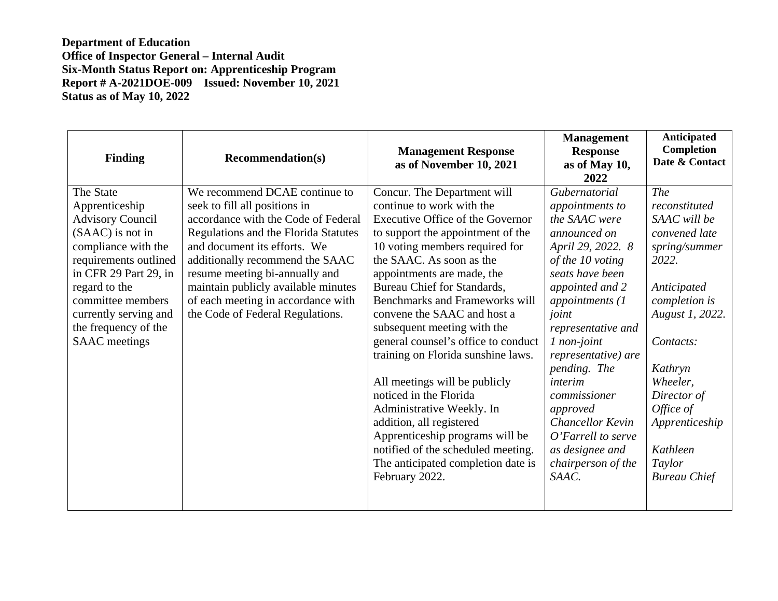| Finding                 | <b>Recommendation(s)</b>             | <b>Management Response</b><br>as of November 10, 2021 | <b>Management</b><br><b>Response</b><br>as of May 10,<br>2022 | <b>Anticipated</b><br>Completion<br>Date & Contact |
|-------------------------|--------------------------------------|-------------------------------------------------------|---------------------------------------------------------------|----------------------------------------------------|
| The State               | We recommend DCAE continue to        | Concur. The Department will                           | Gubernatorial                                                 | The                                                |
| Apprenticeship          | seek to fill all positions in        | continue to work with the                             | appointments to                                               | reconstituted                                      |
| <b>Advisory Council</b> | accordance with the Code of Federal  | Executive Office of the Governor                      | the SAAC were                                                 | SAAC will be                                       |
| (SAAC) is not in        | Regulations and the Florida Statutes | to support the appointment of the                     | announced on                                                  | convened late                                      |
| compliance with the     | and document its efforts. We         | 10 voting members required for                        | April 29, 2022. 8                                             | spring/summer                                      |
| requirements outlined   | additionally recommend the SAAC      | the SAAC. As soon as the                              | of the 10 voting                                              | 2022.                                              |
| in CFR 29 Part 29, in   | resume meeting bi-annually and       | appointments are made, the                            | seats have been                                               |                                                    |
| regard to the           | maintain publicly available minutes  | Bureau Chief for Standards,                           | appointed and 2                                               | Anticipated                                        |
| committee members       | of each meeting in accordance with   | <b>Benchmarks and Frameworks will</b>                 | appointments (1                                               | completion is                                      |
| currently serving and   | the Code of Federal Regulations.     | convene the SAAC and host a                           | joint                                                         | August 1, 2022.                                    |
| the frequency of the    |                                      | subsequent meeting with the                           | representative and                                            |                                                    |
| <b>SAAC</b> meetings    |                                      | general counsel's office to conduct                   | 1 non-joint                                                   | Contacts:                                          |
|                         |                                      | training on Florida sunshine laws.                    | representative) are                                           |                                                    |
|                         |                                      |                                                       | pending. The                                                  | Kathryn                                            |
|                         |                                      | All meetings will be publicly                         | interim                                                       | Wheeler,                                           |
|                         |                                      | noticed in the Florida                                | commissioner                                                  | Director of                                        |
|                         |                                      | Administrative Weekly. In                             | approved                                                      | Office of                                          |
|                         |                                      | addition, all registered                              | Chancellor Kevin                                              | Apprenticeship                                     |
|                         |                                      | Apprenticeship programs will be                       | O'Farrell to serve                                            |                                                    |
|                         |                                      | notified of the scheduled meeting.                    | as designee and                                               | Kathleen                                           |
|                         |                                      | The anticipated completion date is                    | chairperson of the                                            | Taylor                                             |
|                         |                                      | February 2022.                                        | SAAC.                                                         | <b>Bureau Chief</b>                                |
|                         |                                      |                                                       |                                                               |                                                    |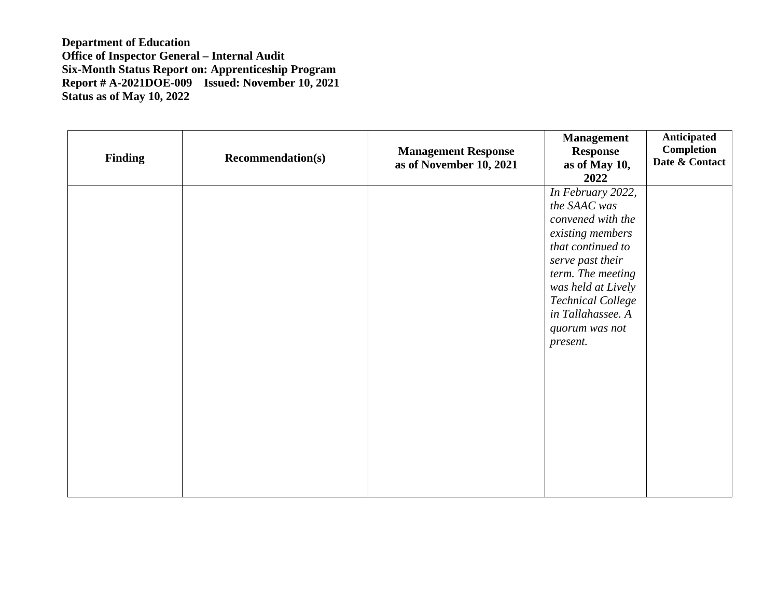| <b>Finding</b> | <b>Recommendation(s)</b> | <b>Management Response</b><br>as of November 10, 2021 | <b>Management</b><br><b>Response</b><br>as of May 10,<br>2022                                                                                                                                                                                 | Anticipated<br><b>Completion</b><br>Date & Contact |
|----------------|--------------------------|-------------------------------------------------------|-----------------------------------------------------------------------------------------------------------------------------------------------------------------------------------------------------------------------------------------------|----------------------------------------------------|
|                |                          |                                                       | In February 2022,<br>the SAAC was<br>convened with the<br>existing members<br>that continued to<br>serve past their<br>term. The meeting<br>was held at Lively<br><b>Technical College</b><br>in Tallahassee. A<br>quorum was not<br>present. |                                                    |
|                |                          |                                                       |                                                                                                                                                                                                                                               |                                                    |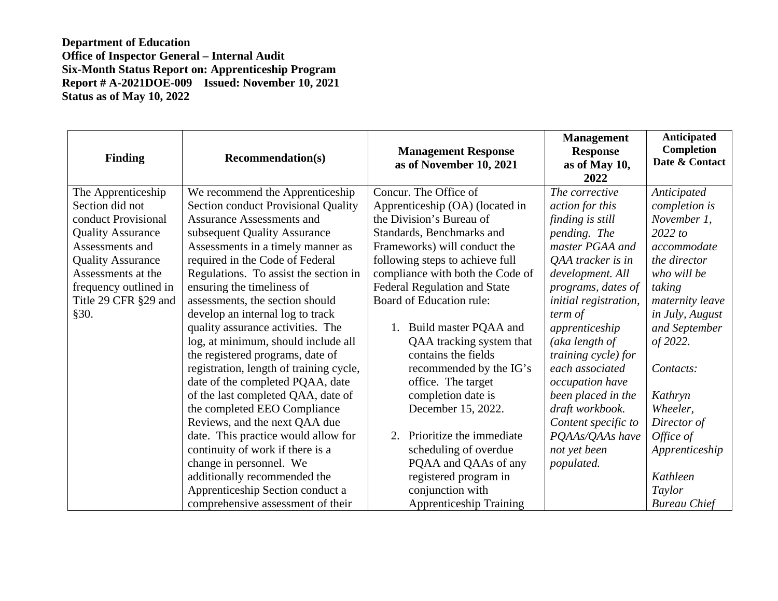| <b>Finding</b>           | <b>Recommendation(s)</b>                | <b>Management Response</b><br>as of November 10, 2021 | <b>Management</b><br><b>Response</b><br>as of May 10,<br>2022 | Anticipated<br>Completion<br>Date & Contact |
|--------------------------|-----------------------------------------|-------------------------------------------------------|---------------------------------------------------------------|---------------------------------------------|
| The Apprenticeship       | We recommend the Apprenticeship         | Concur. The Office of                                 | The corrective                                                | Anticipated                                 |
| Section did not          | Section conduct Provisional Quality     | Apprenticeship (OA) (located in                       | action for this                                               | completion is                               |
| conduct Provisional      | <b>Assurance Assessments and</b>        | the Division's Bureau of                              | finding is still                                              | November 1,                                 |
| <b>Quality Assurance</b> | subsequent Quality Assurance            | Standards, Benchmarks and                             | pending. The                                                  | 2022 to                                     |
| Assessments and          | Assessments in a timely manner as       | Frameworks) will conduct the                          | master PGAA and                                               | accommodate                                 |
| <b>Quality Assurance</b> | required in the Code of Federal         | following steps to achieve full                       | QAA tracker is in                                             | the director                                |
| Assessments at the       | Regulations. To assist the section in   | compliance with both the Code of                      | development. All                                              | who will be                                 |
| frequency outlined in    | ensuring the timeliness of              | <b>Federal Regulation and State</b>                   | programs, dates of                                            | taking                                      |
| Title 29 CFR §29 and     | assessments, the section should         | Board of Education rule:                              | initial registration,                                         | maternity leave                             |
| §30.                     | develop an internal log to track        |                                                       | term of                                                       | in July, August                             |
|                          | quality assurance activities. The       | Build master PQAA and                                 | apprenticeship                                                | and September                               |
|                          | log, at minimum, should include all     | QAA tracking system that                              | (aka length of                                                | of 2022.                                    |
|                          | the registered programs, date of        | contains the fields                                   | training cycle) for                                           |                                             |
|                          | registration, length of training cycle, | recommended by the IG's                               | each associated                                               | Contacts:                                   |
|                          | date of the completed PQAA, date        | office. The target                                    | occupation have                                               |                                             |
|                          | of the last completed QAA, date of      | completion date is                                    | been placed in the                                            | Kathryn                                     |
|                          | the completed EEO Compliance            | December 15, 2022.                                    | draft workbook.                                               | Wheeler,                                    |
|                          | Reviews, and the next QAA due           |                                                       | Content specific to                                           | Director of                                 |
|                          | date. This practice would allow for     | Prioritize the immediate<br>2.                        | PQAAs/QAAs have                                               | Office of                                   |
|                          | continuity of work if there is a        | scheduling of overdue                                 | not yet been                                                  | Apprenticeship                              |
|                          | change in personnel. We                 | PQAA and QAAs of any                                  | populated.                                                    |                                             |
|                          | additionally recommended the            | registered program in                                 |                                                               | Kathleen                                    |
|                          | Apprenticeship Section conduct a        | conjunction with                                      |                                                               | Taylor                                      |
|                          | comprehensive assessment of their       | <b>Apprenticeship Training</b>                        |                                                               | <b>Bureau Chief</b>                         |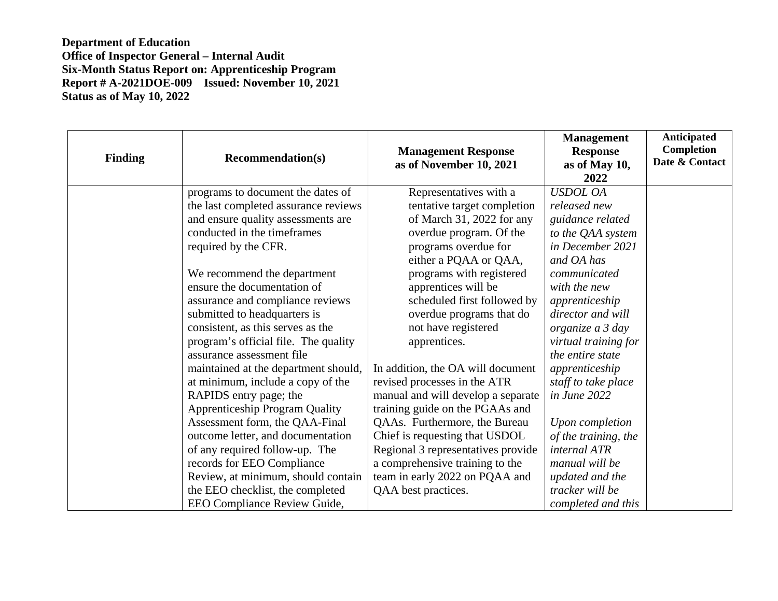| <b>Finding</b> | <b>Recommendation(s)</b>              | <b>Management Response</b><br>as of November 10, 2021 | <b>Management</b><br><b>Response</b><br>as of May 10,<br>2022 | <b>Anticipated</b><br><b>Completion</b><br>Date & Contact |
|----------------|---------------------------------------|-------------------------------------------------------|---------------------------------------------------------------|-----------------------------------------------------------|
|                | programs to document the dates of     | Representatives with a                                | <b>USDOL OA</b>                                               |                                                           |
|                | the last completed assurance reviews  | tentative target completion                           | released new                                                  |                                                           |
|                | and ensure quality assessments are    | of March 31, 2022 for any                             | guidance related                                              |                                                           |
|                | conducted in the timeframes           | overdue program. Of the                               | to the QAA system                                             |                                                           |
|                | required by the CFR.                  | programs overdue for                                  | in December 2021                                              |                                                           |
|                |                                       | either a PQAA or QAA,                                 | and OA has                                                    |                                                           |
|                | We recommend the department           | programs with registered                              | communicated                                                  |                                                           |
|                | ensure the documentation of           | apprentices will be                                   | with the new                                                  |                                                           |
|                | assurance and compliance reviews      | scheduled first followed by                           | apprenticeship                                                |                                                           |
|                | submitted to headquarters is          | overdue programs that do                              | director and will                                             |                                                           |
|                | consistent, as this serves as the     | not have registered                                   | organize a 3 day                                              |                                                           |
|                | program's official file. The quality  | apprentices.                                          | virtual training for                                          |                                                           |
|                | assurance assessment file             |                                                       | the entire state                                              |                                                           |
|                | maintained at the department should,  | In addition, the OA will document                     | apprenticeship                                                |                                                           |
|                | at minimum, include a copy of the     | revised processes in the ATR                          | staff to take place                                           |                                                           |
|                | RAPIDS entry page; the                | manual and will develop a separate                    | in June 2022                                                  |                                                           |
|                | <b>Apprenticeship Program Quality</b> | training guide on the PGAAs and                       |                                                               |                                                           |
|                | Assessment form, the QAA-Final        | QAAs. Furthermore, the Bureau                         | Upon completion                                               |                                                           |
|                | outcome letter, and documentation     | Chief is requesting that USDOL                        | of the training, the                                          |                                                           |
|                | of any required follow-up. The        | Regional 3 representatives provide                    | <i>internal ATR</i>                                           |                                                           |
|                | records for EEO Compliance            | a comprehensive training to the                       | manual will be                                                |                                                           |
|                | Review, at minimum, should contain    | team in early 2022 on PQAA and                        | updated and the                                               |                                                           |
|                | the EEO checklist, the completed      | QAA best practices.                                   | tracker will be                                               |                                                           |
|                | EEO Compliance Review Guide,          |                                                       | completed and this                                            |                                                           |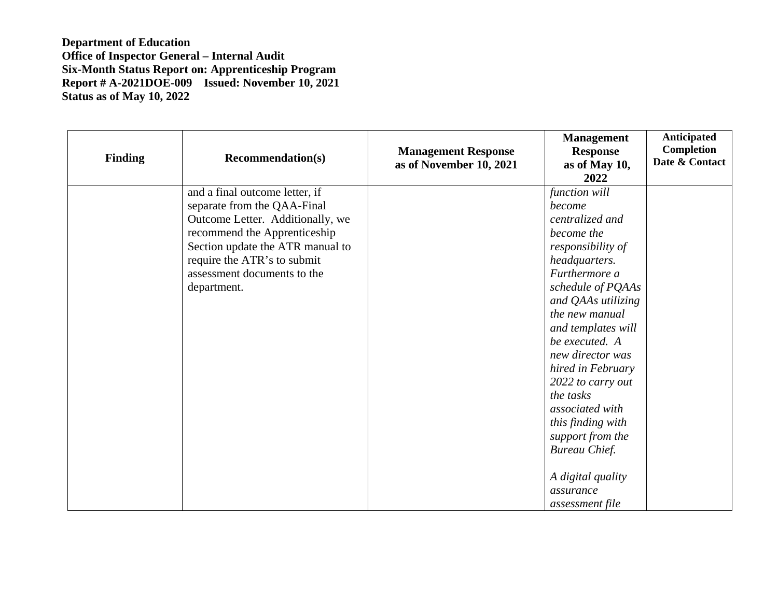| <b>Finding</b> | <b>Recommendation(s)</b>                                                                                                                                                                                                                           | <b>Management Response</b><br>as of November 10, 2021 | <b>Management</b><br><b>Response</b><br>as of May 10,<br>2022                                                                                                                                                                                                                                                                                                                                                                     | Anticipated<br><b>Completion</b><br>Date & Contact |
|----------------|----------------------------------------------------------------------------------------------------------------------------------------------------------------------------------------------------------------------------------------------------|-------------------------------------------------------|-----------------------------------------------------------------------------------------------------------------------------------------------------------------------------------------------------------------------------------------------------------------------------------------------------------------------------------------------------------------------------------------------------------------------------------|----------------------------------------------------|
|                | and a final outcome letter, if<br>separate from the QAA-Final<br>Outcome Letter. Additionally, we<br>recommend the Apprenticeship<br>Section update the ATR manual to<br>require the ATR's to submit<br>assessment documents to the<br>department. |                                                       | function will<br>become<br>centralized and<br>become the<br>responsibility of<br>headquarters.<br>Furthermore a<br>schedule of PQAAs<br>and QAAs utilizing<br>the new manual<br>and templates will<br>be executed. A<br>new director was<br>hired in February<br>2022 to carry out<br>the tasks<br>associated with<br>this finding with<br>support from the<br>Bureau Chief.<br>A digital quality<br>assurance<br>assessment file |                                                    |